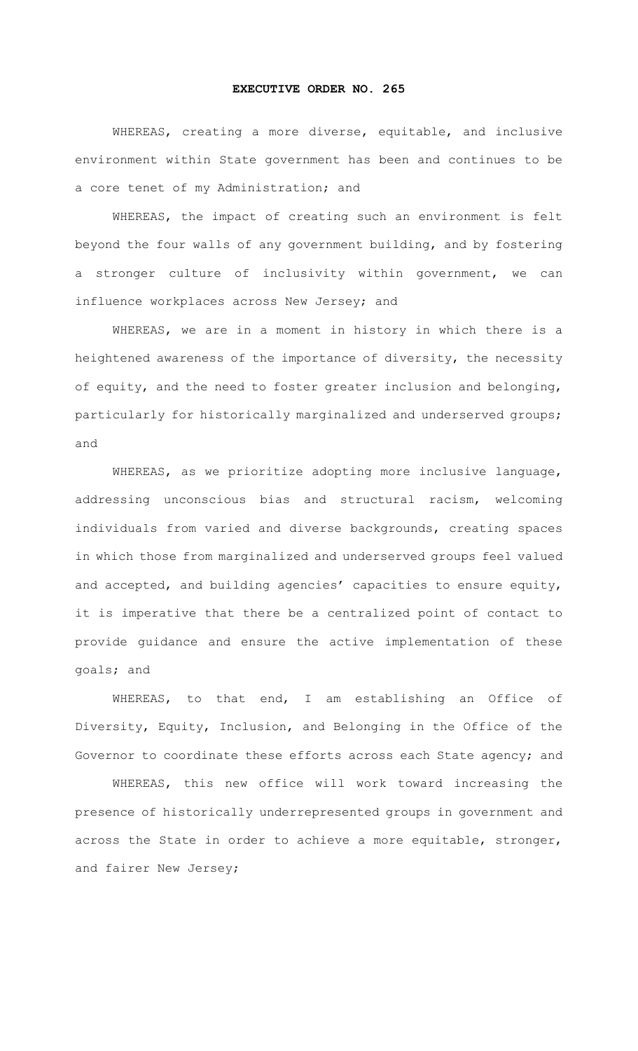## **EXECUTIVE ORDER NO. 265**

WHEREAS, creating a more diverse, equitable, and inclusive environment within State government has been and continues to be a core tenet of my Administration; and

WHEREAS, the impact of creating such an environment is felt beyond the four walls of any government building, and by fostering a stronger culture of inclusivity within government, we can influence workplaces across New Jersey; and

WHEREAS, we are in a moment in history in which there is a heightened awareness of the importance of diversity, the necessity of equity, and the need to foster greater inclusion and belonging, particularly for historically marginalized and underserved groups; and

WHEREAS, as we prioritize adopting more inclusive language, addressing unconscious bias and structural racism, welcoming individuals from varied and diverse backgrounds, creating spaces in which those from marginalized and underserved groups feel valued and accepted, and building agencies' capacities to ensure equity, it is imperative that there be a centralized point of contact to provide guidance and ensure the active implementation of these goals; and

WHEREAS, to that end, I am establishing an Office of Diversity, Equity, Inclusion, and Belonging in the Office of the Governor to coordinate these efforts across each State agency; and

WHEREAS, this new office will work toward increasing the presence of historically underrepresented groups in government and across the State in order to achieve a more equitable, stronger, and fairer New Jersey;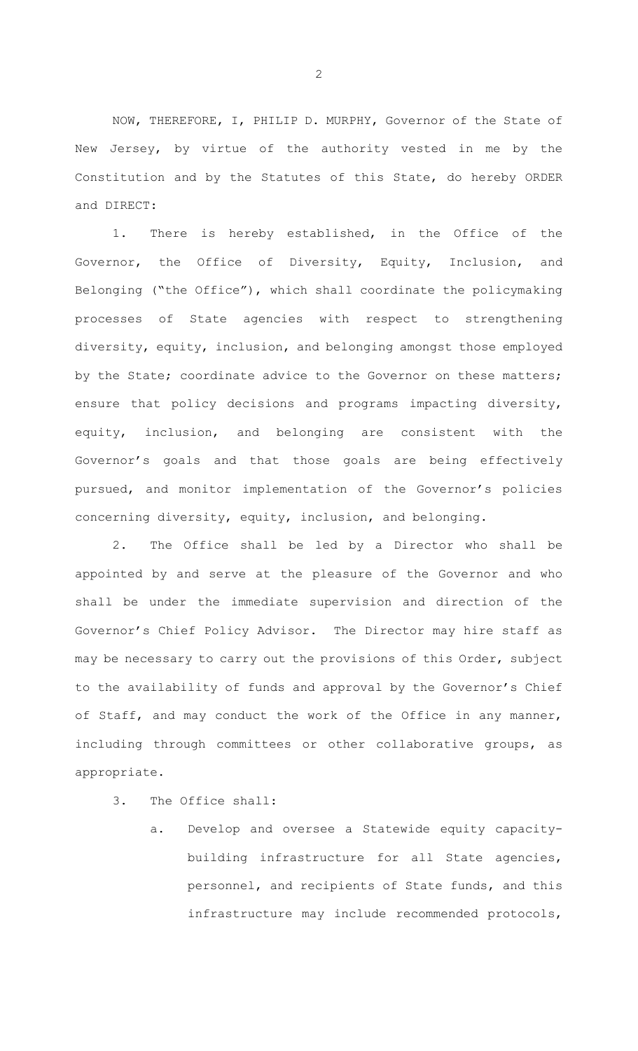NOW, THEREFORE, I, PHILIP D. MURPHY, Governor of the State of New Jersey, by virtue of the authority vested in me by the Constitution and by the Statutes of this State, do hereby ORDER and DIRECT:

1. There is hereby established, in the Office of the Governor, the Office of Diversity, Equity, Inclusion, and Belonging ("the Office"), which shall coordinate the policymaking processes of State agencies with respect to strengthening diversity, equity, inclusion, and belonging amongst those employed by the State; coordinate advice to the Governor on these matters; ensure that policy decisions and programs impacting diversity, equity, inclusion, and belonging are consistent with the Governor's goals and that those goals are being effectively pursued, and monitor implementation of the Governor's policies concerning diversity, equity, inclusion, and belonging.

2. The Office shall be led by a Director who shall be appointed by and serve at the pleasure of the Governor and who shall be under the immediate supervision and direction of the Governor's Chief Policy Advisor. The Director may hire staff as may be necessary to carry out the provisions of this Order, subject to the availability of funds and approval by the Governor's Chief of Staff, and may conduct the work of the Office in any manner, including through committees or other collaborative groups, as appropriate.

- 3. The Office shall:
	- a. Develop and oversee a Statewide equity capacitybuilding infrastructure for all State agencies, personnel, and recipients of State funds, and this infrastructure may include recommended protocols,

2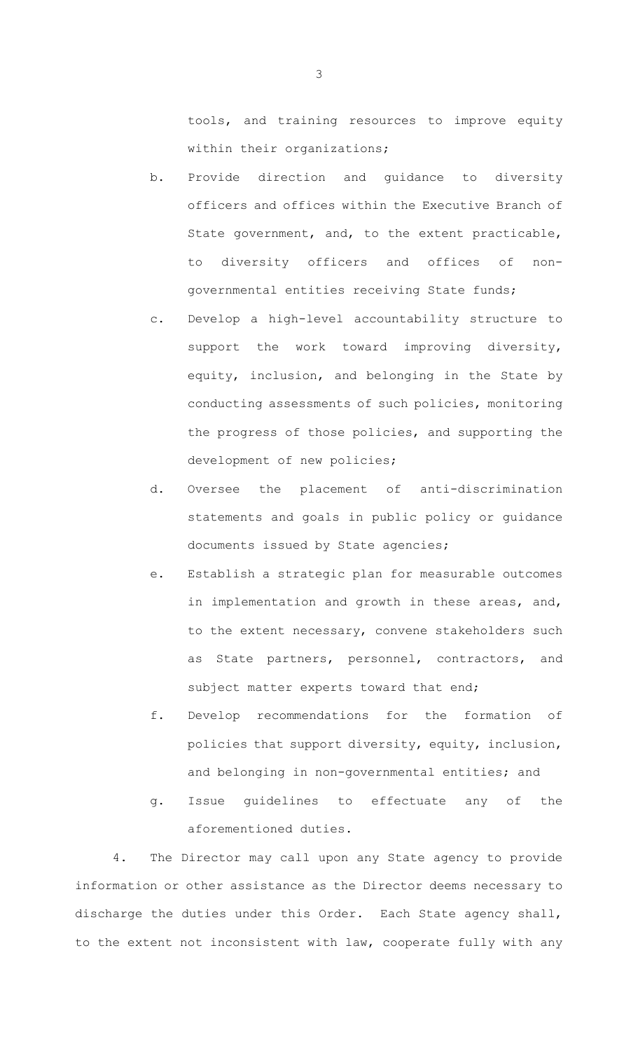tools, and training resources to improve equity within their organizations;

- b. Provide direction and guidance to diversity officers and offices within the Executive Branch of State government, and, to the extent practicable, to diversity officers and offices of nongovernmental entities receiving State funds;
- c. Develop a high-level accountability structure to support the work toward improving diversity, equity, inclusion, and belonging in the State by conducting assessments of such policies, monitoring the progress of those policies, and supporting the development of new policies;
- d. Oversee the placement of anti-discrimination statements and goals in public policy or guidance documents issued by State agencies;
- e. Establish a strategic plan for measurable outcomes in implementation and growth in these areas, and, to the extent necessary, convene stakeholders such as State partners, personnel, contractors, and subject matter experts toward that end;
- f. Develop recommendations for the formation of policies that support diversity, equity, inclusion, and belonging in non-governmental entities; and
- g. Issue guidelines to effectuate any of the aforementioned duties.

4. The Director may call upon any State agency to provide information or other assistance as the Director deems necessary to discharge the duties under this Order. Each State agency shall, to the extent not inconsistent with law, cooperate fully with any

3